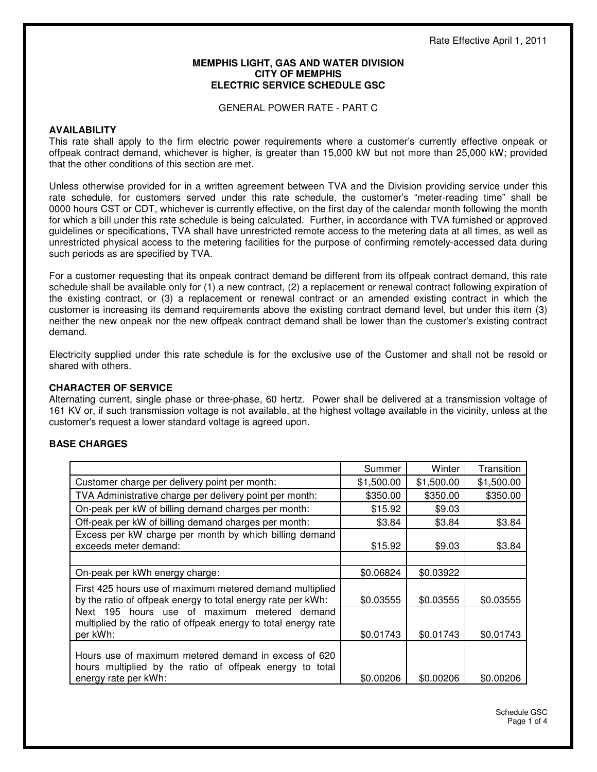### **MEMPHIS LIGHT, GAS AND WATER DIVISION CITY OF MEMPHIS ELECTRIC SERVICE SCHEDULE GSC**

GENERAL POWER RATE - PART C

### **AVAILABILITY**

This rate shall apply to the firm electric power requirements where a customer's currently effective onpeak or offpeak contract demand, whichever is higher, is greater than 15,000 kW but not more than 25,000 kW; provided that the other conditions of this section are met.

Unless otherwise provided for in a written agreement between TVA and the Division providing service under this rate schedule, for customers served under this rate schedule, the customer's "meter-reading time" shall be 0000 hours CST or CDT, whichever is currently effective, on the first day of the calendar month following the month for which a bill under this rate schedule is being calculated. Further, in accordance with TVA furnished or approved guidelines or specifications, TVA shall have unrestricted remote access to the metering data at all times, as well as unrestricted physical access to the metering facilities for the purpose of confirming remotely-accessed data during such periods as are specified by TVA.

For a customer requesting that its onpeak contract demand be different from its offpeak contract demand, this rate schedule shall be available only for (1) a new contract, (2) a replacement or renewal contract following expiration of the existing contract, or (3) a replacement or renewal contract or an amended existing contract in which the customer is increasing its demand requirements above the existing contract demand level, but under this item (3) neither the new onpeak nor the new offpeak contract demand shall be lower than the customer's existing contract demand.

Electricity supplied under this rate schedule is for the exclusive use of the Customer and shall not be resold or shared with others.

# **CHARACTER OF SERVICE**

Alternating current, single phase or three-phase, 60 hertz. Power shall be delivered at a transmission voltage of 161 KV or, if such transmission voltage is not available, at the highest voltage available in the vicinity, unless at the customer's request a lower standard voltage is agreed upon.

# **BASE CHARGES**

|                                                                                                                                          | Summer     | Winter     | Transition |
|------------------------------------------------------------------------------------------------------------------------------------------|------------|------------|------------|
| Customer charge per delivery point per month:                                                                                            | \$1,500.00 | \$1,500.00 | \$1,500.00 |
| TVA Administrative charge per delivery point per month:                                                                                  | \$350.00   | \$350.00   | \$350.00   |
| On-peak per kW of billing demand charges per month:                                                                                      | \$15.92    | \$9.03     |            |
| Off-peak per kW of billing demand charges per month:                                                                                     | \$3.84     | \$3.84     | \$3.84     |
| Excess per kW charge per month by which billing demand<br>exceeds meter demand:                                                          | \$15.92    | \$9.03     | \$3.84     |
|                                                                                                                                          |            |            |            |
| On-peak per kWh energy charge:                                                                                                           | \$0.06824  | \$0.03922  |            |
| First 425 hours use of maximum metered demand multiplied<br>by the ratio of offpeak energy to total energy rate per kWh:                 | \$0.03555  | \$0.03555  | \$0.03555  |
| Next 195 hours use of maximum metered demand<br>multiplied by the ratio of offpeak energy to total energy rate<br>per kWh:               | \$0.01743  | \$0.01743  | \$0.01743  |
| Hours use of maximum metered demand in excess of 620<br>hours multiplied by the ratio of offpeak energy to total<br>energy rate per kWh: | \$0.00206  | \$0.00206  | \$0.00206  |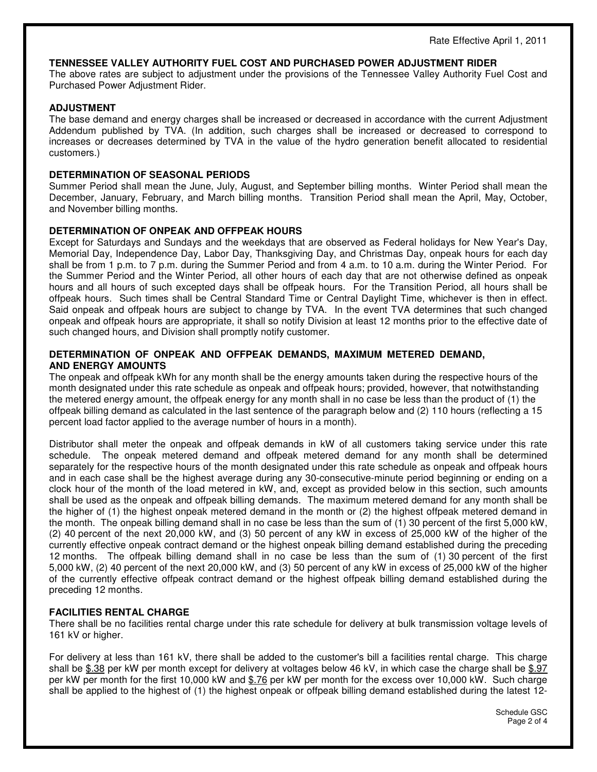### **TENNESSEE VALLEY AUTHORITY FUEL COST AND PURCHASED POWER ADJUSTMENT RIDER**

The above rates are subject to adjustment under the provisions of the Tennessee Valley Authority Fuel Cost and Purchased Power Adjustment Rider.

### **ADJUSTMENT**

The base demand and energy charges shall be increased or decreased in accordance with the current Adjustment Addendum published by TVA. (In addition, such charges shall be increased or decreased to correspond to increases or decreases determined by TVA in the value of the hydro generation benefit allocated to residential customers.)

### **DETERMINATION OF SEASONAL PERIODS**

Summer Period shall mean the June, July, August, and September billing months. Winter Period shall mean the December, January, February, and March billing months. Transition Period shall mean the April, May, October, and November billing months.

### **DETERMINATION OF ONPEAK AND OFFPEAK HOURS**

Except for Saturdays and Sundays and the weekdays that are observed as Federal holidays for New Year's Day, Memorial Day, Independence Day, Labor Day, Thanksgiving Day, and Christmas Day, onpeak hours for each day shall be from 1 p.m. to 7 p.m. during the Summer Period and from 4 a.m. to 10 a.m. during the Winter Period. For the Summer Period and the Winter Period, all other hours of each day that are not otherwise defined as onpeak hours and all hours of such excepted days shall be offpeak hours. For the Transition Period, all hours shall be offpeak hours. Such times shall be Central Standard Time or Central Daylight Time, whichever is then in effect. Said onpeak and offpeak hours are subject to change by TVA. In the event TVA determines that such changed onpeak and offpeak hours are appropriate, it shall so notify Division at least 12 months prior to the effective date of such changed hours, and Division shall promptly notify customer.

## **DETERMINATION OF ONPEAK AND OFFPEAK DEMANDS, MAXIMUM METERED DEMAND, AND ENERGY AMOUNTS**

The onpeak and offpeak kWh for any month shall be the energy amounts taken during the respective hours of the month designated under this rate schedule as onpeak and offpeak hours; provided, however, that notwithstanding the metered energy amount, the offpeak energy for any month shall in no case be less than the product of (1) the offpeak billing demand as calculated in the last sentence of the paragraph below and (2) 110 hours (reflecting a 15 percent load factor applied to the average number of hours in a month).

Distributor shall meter the onpeak and offpeak demands in kW of all customers taking service under this rate schedule. The onpeak metered demand and offpeak metered demand for any month shall be determined separately for the respective hours of the month designated under this rate schedule as onpeak and offpeak hours and in each case shall be the highest average during any 30-consecutive-minute period beginning or ending on a clock hour of the month of the load metered in kW, and, except as provided below in this section, such amounts shall be used as the onpeak and offpeak billing demands. The maximum metered demand for any month shall be the higher of (1) the highest onpeak metered demand in the month or (2) the highest offpeak metered demand in the month. The onpeak billing demand shall in no case be less than the sum of (1) 30 percent of the first 5,000 kW, (2) 40 percent of the next 20,000 kW, and (3) 50 percent of any kW in excess of 25,000 kW of the higher of the currently effective onpeak contract demand or the highest onpeak billing demand established during the preceding 12 months. The offpeak billing demand shall in no case be less than the sum of (1) 30 percent of the first 5,000 kW, (2) 40 percent of the next 20,000 kW, and (3) 50 percent of any kW in excess of 25,000 kW of the higher of the currently effective offpeak contract demand or the highest offpeak billing demand established during the preceding 12 months.

### **FACILITIES RENTAL CHARGE**

There shall be no facilities rental charge under this rate schedule for delivery at bulk transmission voltage levels of 161 kV or higher.

For delivery at less than 161 kV, there shall be added to the customer's bill a facilities rental charge. This charge shall be \$.38 per kW per month except for delivery at voltages below 46 kV, in which case the charge shall be \$.97 per kW per month for the first 10,000 kW and \$.76 per kW per month for the excess over 10,000 kW. Such charge shall be applied to the highest of (1) the highest onpeak or offpeak billing demand established during the latest 12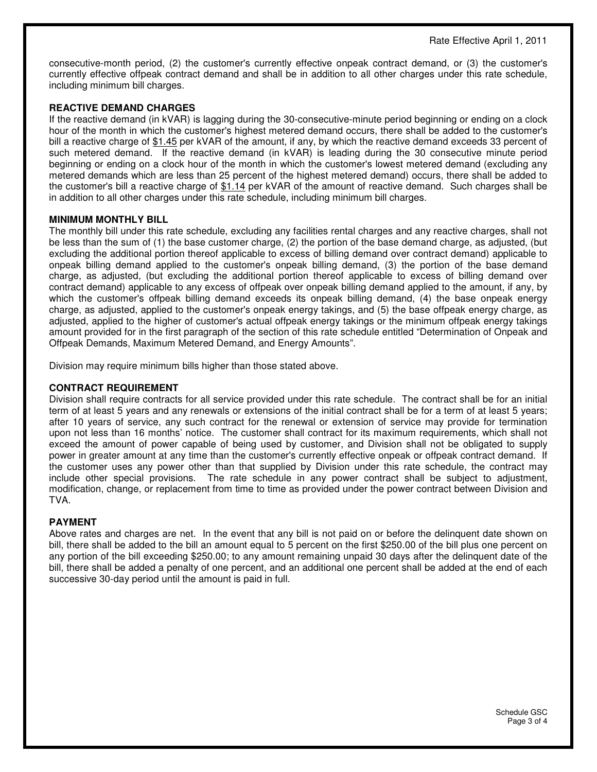consecutive-month period, (2) the customer's currently effective onpeak contract demand, or (3) the customer's currently effective offpeak contract demand and shall be in addition to all other charges under this rate schedule, including minimum bill charges.

## **REACTIVE DEMAND CHARGES**

If the reactive demand (in kVAR) is lagging during the 30-consecutive-minute period beginning or ending on a clock hour of the month in which the customer's highest metered demand occurs, there shall be added to the customer's bill a reactive charge of \$1.45 per kVAR of the amount, if any, by which the reactive demand exceeds 33 percent of such metered demand. If the reactive demand (in kVAR) is leading during the 30 consecutive minute period beginning or ending on a clock hour of the month in which the customer's lowest metered demand (excluding any metered demands which are less than 25 percent of the highest metered demand) occurs, there shall be added to the customer's bill a reactive charge of \$1.14 per kVAR of the amount of reactive demand. Such charges shall be in addition to all other charges under this rate schedule, including minimum bill charges.

### **MINIMUM MONTHLY BILL**

The monthly bill under this rate schedule, excluding any facilities rental charges and any reactive charges, shall not be less than the sum of (1) the base customer charge, (2) the portion of the base demand charge, as adjusted, (but excluding the additional portion thereof applicable to excess of billing demand over contract demand) applicable to onpeak billing demand applied to the customer's onpeak billing demand, (3) the portion of the base demand charge, as adjusted, (but excluding the additional portion thereof applicable to excess of billing demand over contract demand) applicable to any excess of offpeak over onpeak billing demand applied to the amount, if any, by which the customer's offpeak billing demand exceeds its onpeak billing demand, (4) the base onpeak energy charge, as adjusted, applied to the customer's onpeak energy takings, and (5) the base offpeak energy charge, as adjusted, applied to the higher of customer's actual offpeak energy takings or the minimum offpeak energy takings amount provided for in the first paragraph of the section of this rate schedule entitled "Determination of Onpeak and Offpeak Demands, Maximum Metered Demand, and Energy Amounts".

Division may require minimum bills higher than those stated above.

## **CONTRACT REQUIREMENT**

Division shall require contracts for all service provided under this rate schedule. The contract shall be for an initial term of at least 5 years and any renewals or extensions of the initial contract shall be for a term of at least 5 years; after 10 years of service, any such contract for the renewal or extension of service may provide for termination upon not less than 16 months' notice. The customer shall contract for its maximum requirements, which shall not exceed the amount of power capable of being used by customer, and Division shall not be obligated to supply power in greater amount at any time than the customer's currently effective onpeak or offpeak contract demand. If the customer uses any power other than that supplied by Division under this rate schedule, the contract may include other special provisions. The rate schedule in any power contract shall be subject to adjustment, modification, change, or replacement from time to time as provided under the power contract between Division and TVA.

### **PAYMENT**

Above rates and charges are net. In the event that any bill is not paid on or before the delinquent date shown on bill, there shall be added to the bill an amount equal to 5 percent on the first \$250.00 of the bill plus one percent on any portion of the bill exceeding \$250.00; to any amount remaining unpaid 30 days after the delinquent date of the bill, there shall be added a penalty of one percent, and an additional one percent shall be added at the end of each successive 30-day period until the amount is paid in full.